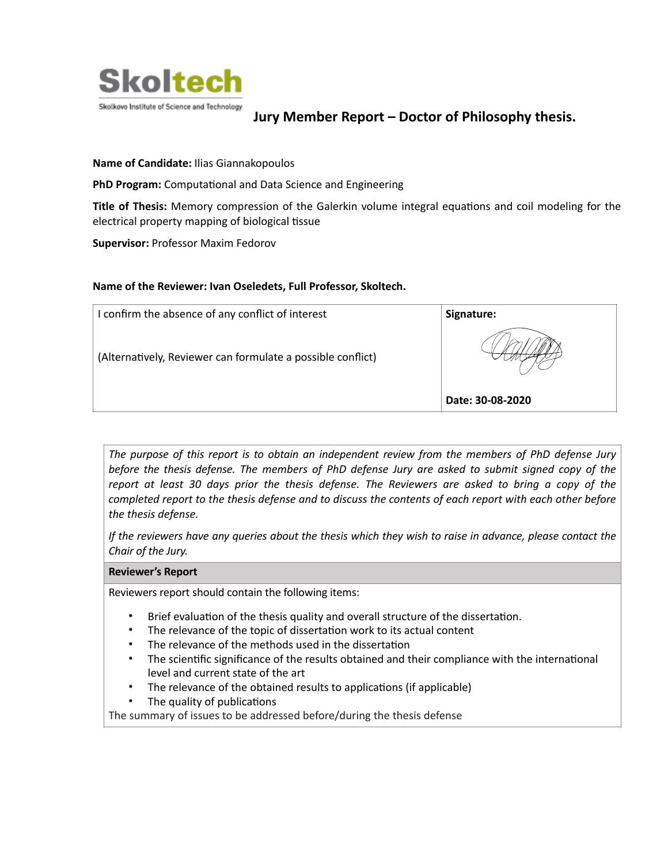

# **Jury Member Report – Doctor of Philosophy thesis.**

# **Name of Candidate:** Ilias Giannakopoulos

**PhD Program:** Computational and Data Science and Engineering

**Title of Thesis:** Memory compression of the Galerkin volume integral equations and coil modeling for the electrical property mapping of biological tissue

**Supervisor:** Professor Maxim Fedorov

### **Name of the Reviewer: Ivan Oseledets, Full Professor, Skoltech.**

| I confirm the absence of any conflict of interest           | Signature:       |
|-------------------------------------------------------------|------------------|
| (Alternatively, Reviewer can formulate a possible conflict) |                  |
|                                                             | Date: 30-08-2020 |

*The purpose of this report is to obtain an independent review from the members of PhD defense Jury before the thesis defense. The members of PhD defense Jury are asked to submit signed copy of the report at least 30 days prior the thesis defense. The Reviewers are asked to bring a copy of the completed report to the thesis defense and to discuss the contents of each report with each other before the thesis defense.* 

*If the reviewers have any queries about the thesis which they wish to raise in advance, please contact the Chair of the Jury.*

#### **Reviewer's Report**

Reviewers report should contain the following items:

- Brief evaluation of the thesis quality and overall structure of the dissertation.
- The relevance of the topic of dissertation work to its actual content
- The relevance of the methods used in the dissertation
- The scientific significance of the results obtained and their compliance with the international level and current state of the art
- The relevance of the obtained results to applications (if applicable)
- The quality of publications

The summary of issues to be addressed before/during the thesis defense